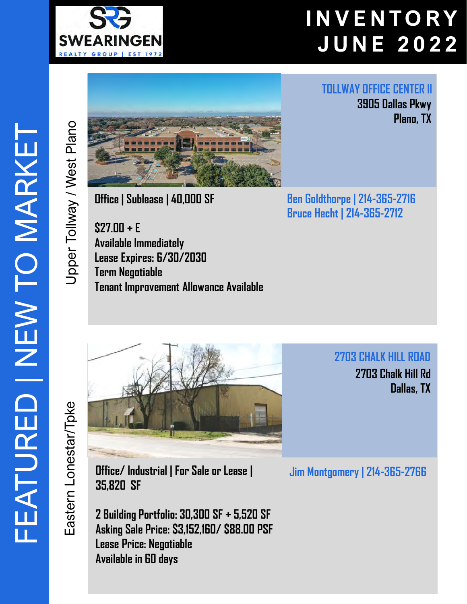

**TOLLWAY OFFICE CENTER II**

**3905 Dallas Pkwy**

**Plano, TX** 



**Office | Sublease | 40,000 SF**

**\$27.00 + E Available Immediately Lease Expires: 6/30/2030 Term Negotiable Tenant Improvement Allowance Available** **Ben Goldthorpe | 214-365-2716 Bruce Hecht | 214-365-2712**

**2703 CHALK HILL ROAD 2703 Chalk Hill Rd Dallas, TX** 

ADD

Eastern Lonestar/Tpke Eastern Lonestar/Tpke



**2 Building Portfolio: 30,300 SF + 5,520 SF Asking Sale Price: \$3,152,160/ \$88.00 PSF Lease Price: Negotiable Available in 60 days**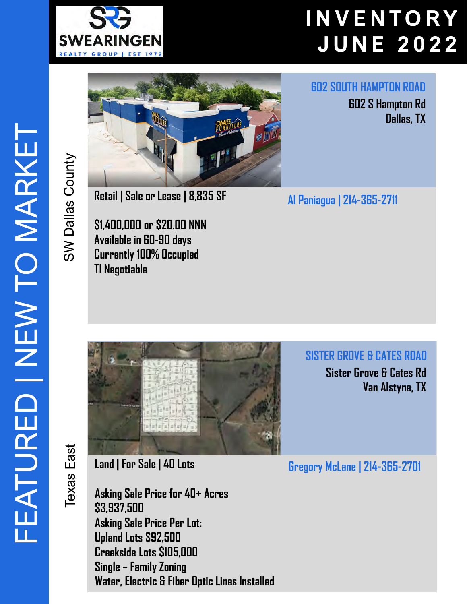

SW Dallas County

SW Dallas County

Texas East

**Texas East** 



**Retail | Sale or Lease | 8,835 SF** 

**\$1,400,000 or \$20.00 NNN Available in 60-90 days Currently 100% Occupied TI Negotiable** 

**602 SOUTH HAMPTON ROAD**

**602 S Hampton Rd Dallas, TX** 

**Al Paniagua | 214-365-2711**

**SISTER GROVE & CATES ROAD**

**Sister Grove & Cates Rd Van Alstyne, TX** 

**Gregory McLane | 214-365-2701**

**Land | For Sale | 40 Lots** 

**Asking Sale Price for 40+ Acres \$3,937,500 Asking Sale Price Per Lot: Upland Lots \$92,500 Creekside Lots \$105,000 Single – Family Zoning Water, Electric & Fiber Optic Lines Installed**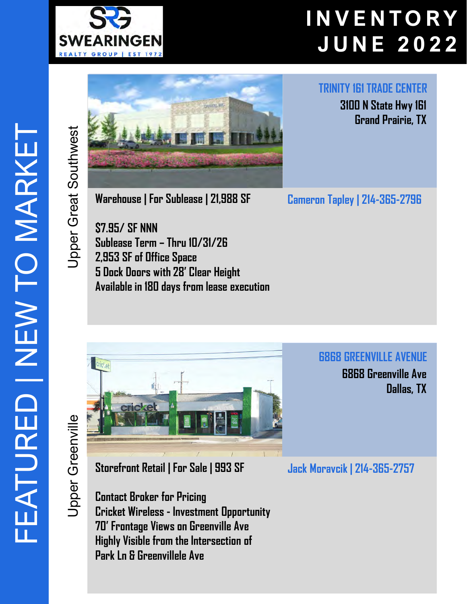



**Warehouse | For Sublease | 21,988 SF** 

**\$7.95/ SF NNN Sublease Term – Thru 10/31/26 2,953 SF of Office Space 5 Dock Doors with 28' Clear Height Available in 180 days from lease execution** **TRINITY 161 TRADE CENTER**

**3100 N State Hwy 161 Grand Prairie, TX** 

**Cameron Tapley | 214-365-2796**

**6868 GREENVILLE AVENUE 6868 Greenville Ave Dallas, TX** 

**Jpper Greenville** Upper Greenville



**Storefront Retail | For Sale | 993 SF** 

**Contact Broker for Pricing Cricket Wireless - Investment Opportunity 70' Frontage Views on Greenville Ave Highly Visible from the Intersection of Park Ln & Greenvillele Ave**

**Jack Moravcik | 214-365-2757**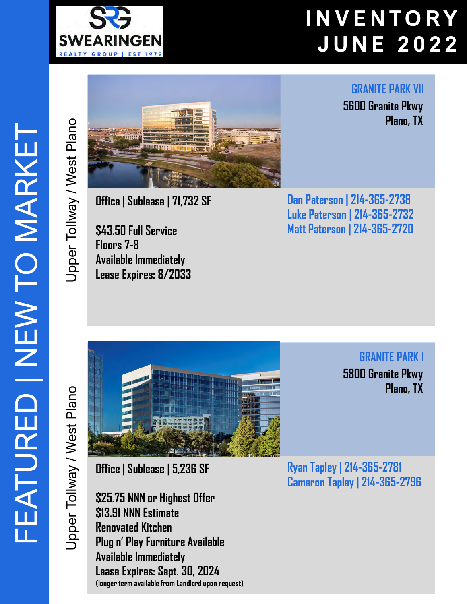

**GRANITE PARK VII**

**5600 Granite Pkwy Plano, TX**

**Office | Sublease | 71,732 SF**

**\$43.50 Full Service Floors 7-8 Available Immediately Lease Expires: 8/2033**

**Dan Paterson | 214-365-2738 Luke Paterson | 214-365-2732 Matt Paterson | 214-365-2720**

Jpper Tollway / West Plano Upper Tollway / West Plano

Upper Tollway / West Plano

Jpper Tollway / West Plano



**Office | Sublease | 5,236 SF**

**\$25.75 NNN or Highest Offer \$13.91 NNN Estimate Renovated Kitchen Plug n' Play Furniture Available Available Immediately Lease Expires: Sept. 30, 2024 (longer term available from Landlord upon request)**

**GRANITE PARK I 5800 Granite Pkwy Plano, TX**

**Ryan Tapley | 214-365-2781 Cameron Tapley | 214-365-2796**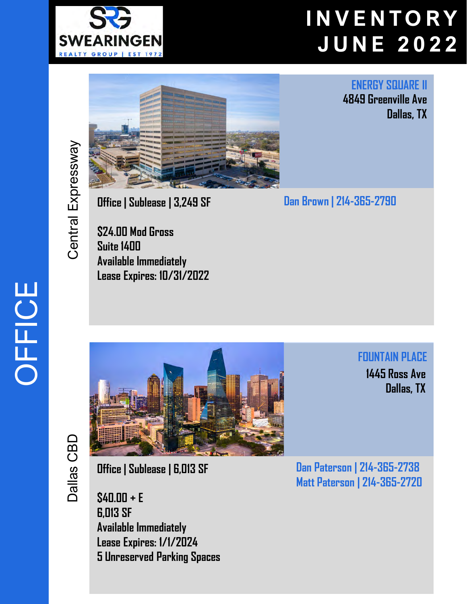



**ENERGY SQUARE II 4849 Greenville Ave Dallas, TX** 

**Dan Brown | 214 -365 -2790**

**Office | Sublease | 3,249 SF**

**\$24.00 Mod Gross Suite 1400 Available Immediately Lease Expires: 10/31/2022**

**FOUNTAIN PLACE 1445 Ross Ave Dallas, TX** 

**Office | Sublease | 6,013 SF**

**\$40.00 + E 6,013 SF Available Immediately Lease Expires: 1/1/2024 5 Unreserved Parking Spaces** **Dan Paterson | 214 -365 -2738 Matt Paterson | 214 -365 -2720**

# OFFICE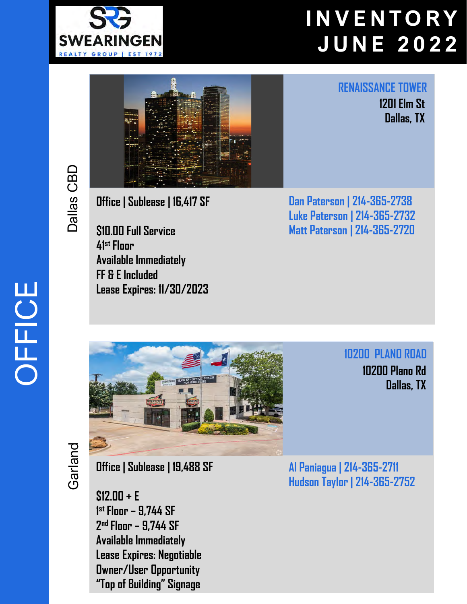



#### **RENAISSANCE TOWER**

**1201 Elm St Dallas, TX** 

**Office | Sublease | 16,417 SF**

**\$10.00 Full Service 41st Floor Available Immediately FF & E Included Lease Expires: 11/30/2023**

**Dan Paterson | 214-365-2738 Luke Paterson | 214-365-2732 Matt Paterson | 214-365-2720**



**10200 PLANO ROAD 10200 Plano Rd Dallas, TX** 

**Office | Sublease | 19,488 SF**

**\$12.00 + E 1 stFloor – 9,744 SF 2nd Floor – 9,744 SF Available Immediately Lease Expires: Negotiable Owner/User Opportunity "Top of Building" Signage**

**Al Paniagua | 214-365-2711 Hudson Taylor | 214-365-2752**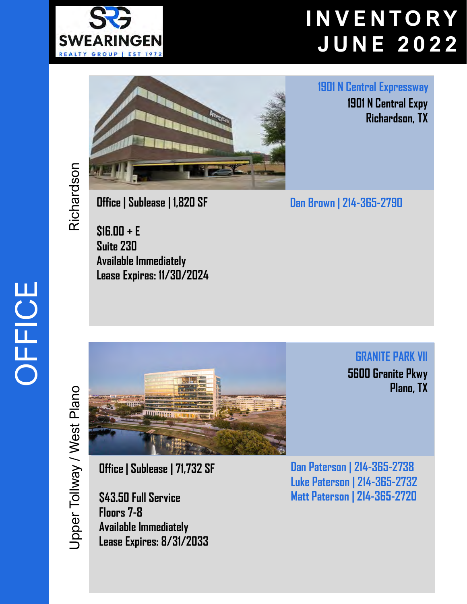



**1901 N Central Expressway**

**1901 N Central Expy Richardson, TX** 

**GRANITE PARK VII**

**Plano, TX**

**5600 Granite Pkwy**

**Dan Brown | 214 -365 -2790**

**Office | Sublease | 1,820 SF**

**\$16.00 + E Suite 230 Available Immediately Lease Expires: 11/30/2024**

Jpper Tollway / West Plano Upper Tollway / West Plano



**Office | Sublease | 71,732 SF**

**\$43.50 Full Service Floors 7-8 Available Immediately Lease Expires: 8/31/2033** **Dan Paterson | 214 -365 -2738 Luke Paterson | 214 -365 -2732 Matt Paterson | 214 -365 -2720**

# OFFICE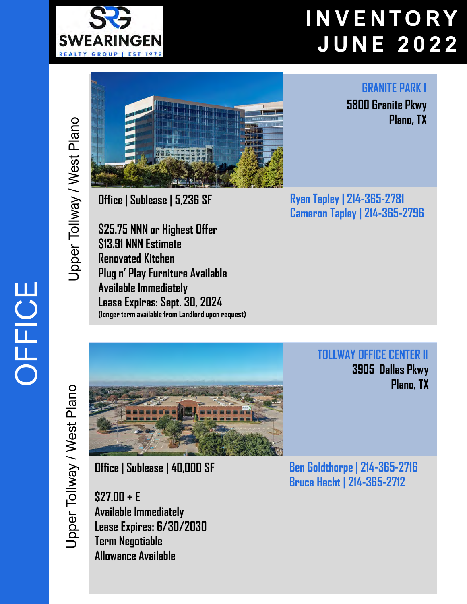

OFFICE



**Office | Sublease | 5,236 SF**

**\$25.75 NNN or Highest Offer \$13.91 NNN Estimate Renovated Kitchen Plug n' Play Furniture Available Available Immediately Lease Expires: Sept. 30, 2024 (longer term available from Landlord upon request)** **Ryan Tapley | 214-365-2781 Cameron Tapley | 214-365-2796**

> **TOLLWAY OFFICE CENTER II 3905 Dallas Pkwy Plano, TX**



**Office | Sublease | 40,000 SF**

**\$27.00 + E Available Immediately Lease Expires: 6/30/2030 Term Negotiable Allowance Available**

**Ben Goldthorpe | 214-365-2716 Bruce Hecht | 214-365-2712**

**Plano, TX**

**GRANITE PARK I**

**5800 Granite Pkwy**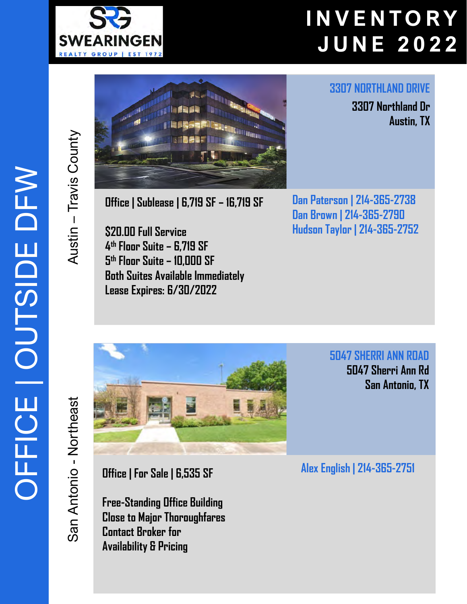

**3307 NORTHLAND DRIVE**

**3307 Northland Dr**

**Austin, TX**



**Office | Sublease | 6,719 SF – 16,719 SF**

**\$20.00 Full Service 4th Floor Suite – 6,719 SF 5th Floor Suite – 10,000 SF Both Suites Available Immediately Lease Expires: 6/30/2022**

**Dan Paterson | 214-365-2738 Dan Brown | 214-365-2790 Hudson Taylor | 214-365-2752**

San Antonio San Antonio - Northeast Northeast

Austin - Travis County

– Travis County



**Office | For Sale | 6,535 SF** 

**Free-Standing Office Building Close to Major Thoroughfares Contact Broker for Availability & Pricing** 

**5047 SHERRI ANN ROAD 5047 Sherri Ann Rd San Antonio, TX**

**Alex English | 214-365-2751**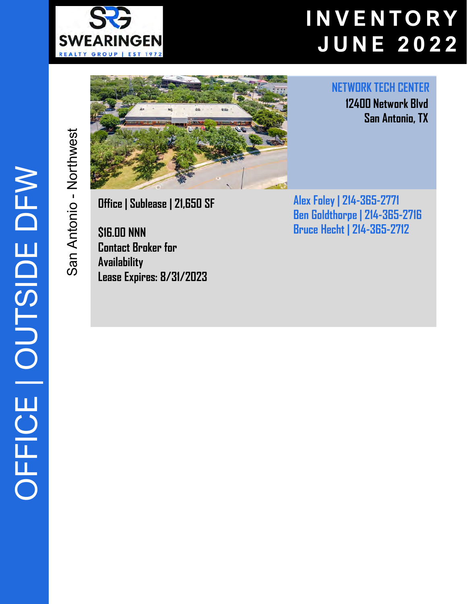

San Antonio - Northwest

San Antonio - Northwest



**NETWORK TECH CENTER**

**12400 Network Blvd San Antonio, TX** 

**Office | Sublease | 21,650 SF** 

**\$16.00 NNN Contact Broker for Availability Lease Expires: 8/31/2023** **Alex Foley | 214 -365 -2771 Ben Goldthorpe | 214 -365 -2716 Bruce Hecht | 214 -365 -2712**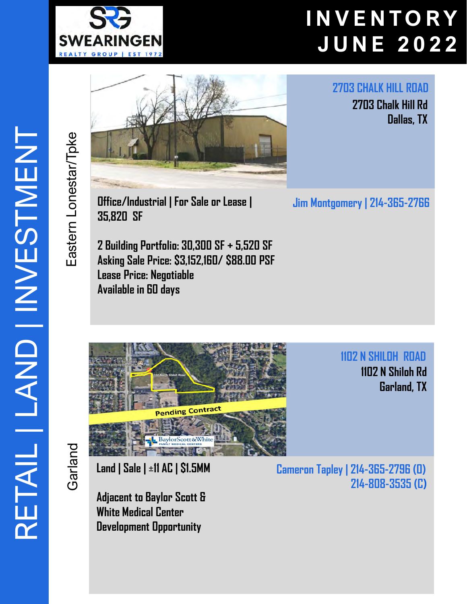



**Office/Industrial | For Sale or Lease | Jim Montgomery | 214-365-2766 35,820 SF** 

**2 Building Portfolio: 30,300 SF + 5,520 SF Asking Sale Price: \$3,152,160/ \$88.00 PSF Lease Price: Negotiable Available in 60 days** 

**2703 Chalk Hill Rd Dallas, TX** 

**2703 CHALK HILL ROAD**

**1102 N SHILOH ROAD 1102 N Shiloh Rd Garland, TX** 

Garland

Eastern Lonestar/Tpke

Eastern Lonestar/Tpke



**Land | Sale | ±11 AC | \$1.5MM** 

**Adjacent to Baylor Scott & White Medical Center Development Opportunity**

**Cameron Tapley | 214-365-2796 (O) 214-808-3535 (C)**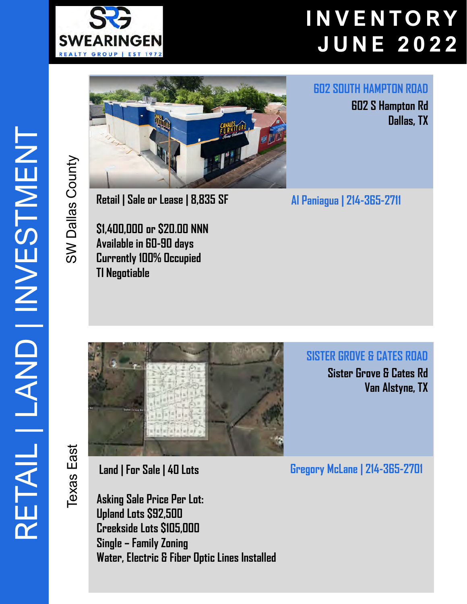



**Retail | Sale or Lease | 8,835 SF** 

**\$1,400,000 or \$20.00 NNN Available in 60-90 days Currently 100% Occupied TI Negotiable** 

**602 SOUTH HAMPTON ROAD**

**602 S Hampton Rd Dallas, TX** 

**Al Paniagua | 214-365-2711**

**SISTER GROVE & CATES ROAD**

**Sister Grove & Cates Rd Van Alstyne, TX** 

**Texas** East Texas East

SW Dallas County

SW Dallas County



**Land | For Sale | 40 Lots** 

**Asking Sale Price Per Lot: Upland Lots \$92,500 Creekside Lots \$105,000 Single – Family Zoning Water, Electric & Fiber Optic Lines Installed** **Gregory McLane | 214-365-2701**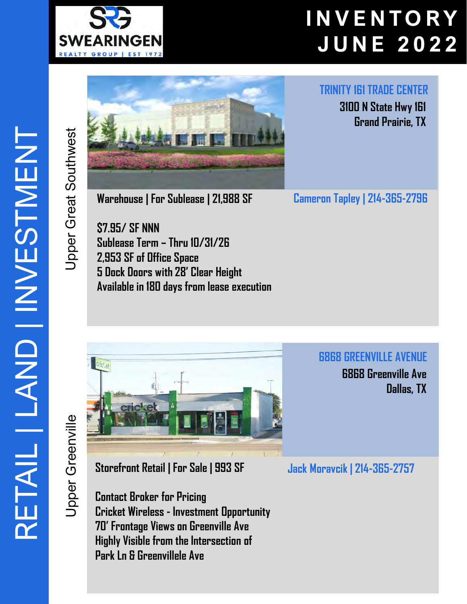



**Warehouse | For Sublease | 21,988 SF** 

**\$7.95/ SF NNN Sublease Term – Thru 10/31/26 2,953 SF of Office Space 5 Dock Doors with 28' Clear Height Available in 180 days from lease execution** **TRINITY 161 TRADE CENTER**

**3100 N State Hwy 161 Grand Prairie, TX** 

**Cameron Tapley | 214-365-2796**

**6868 GREENVILLE AVENUE**

**6868 Greenville Ave Dallas, TX** 

**Jpper Greenville** Upper Greenville



**Storefront Retail | For Sale | 993 SF** 

**Contact Broker for Pricing Cricket Wireless - Investment Opportunity 70' Frontage Views on Greenville Ave Highly Visible from the Intersection of Park Ln & Greenvillele Ave**

**Jack Moravcik | 214-365-2757**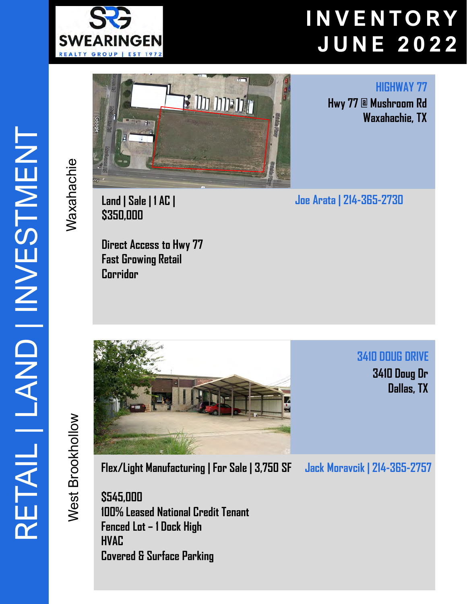

<mark>הלכל היה היה א</mark>

**HIGHWAY 77 Hwy 77 @ Mushroom Rd Waxahachie, TX** 



**Land | Sale | 1 AC | \$350,000**

Waxahachie

Maxahachie

**Direct Access to Hwy 77 Fast Growing Retail Corridor**

**Joe Arata | 214-365-2730**

**3410 DOUG DRIVE 3410 Doug Dr Dallas, TX** 

West Brookhollow West Brookhollow



**Flex/Light Manufacturing | For Sale | 3,750 SF** 

**Jack Moravcik | 214-365-2757**

**\$545,000 100% Leased National Credit Tenant Fenced Lot – 1 Dock High HVAC Covered & Surface Parking**